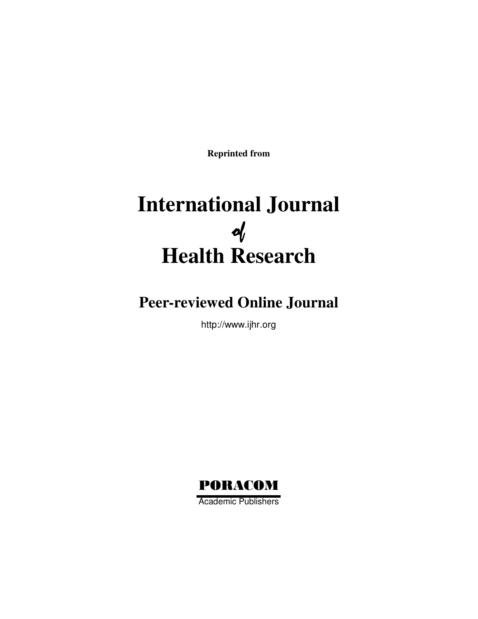**Reprinted from**

# **International Journal**  of **Health Research**

## **Peer-reviewed Online Journal**

http://www.ijhr.org

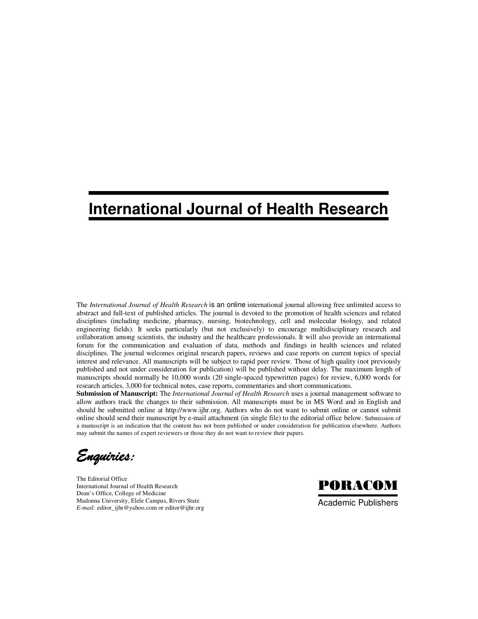## **International Journal of Health Research**

The *International Journal of Health Research* is an online international journal allowing free unlimited access to abstract and full-text of published articles. The journal is devoted to the promotion of health sciences and related disciplines (including medicine, pharmacy, nursing, biotechnology, cell and molecular biology, and related engineering fields). It seeks particularly (but not exclusively) to encourage multidisciplinary research and collaboration among scientists, the industry and the healthcare professionals. It will also provide an international forum for the communication and evaluation of data, methods and findings in health sciences and related disciplines. The journal welcomes original research papers, reviews and case reports on current topics of special interest and relevance. All manuscripts will be subject to rapid peer review. Those of high quality (not previously published and not under consideration for publication) will be published without delay. The maximum length of manuscripts should normally be 10,000 words (20 single-spaced typewritten pages) for review, 6,000 words for research articles, 3,000 for technical notes, case reports, commentaries and short communications.

**Submission of Manuscript:** The *International Journal of Health Research* uses a journal management software to allow authors track the changes to their submission. All manuscripts must be in MS Word and in English and should be submitted online at http://www.ijhr.org. Authors who do not want to submit online or cannot submit online should send their manuscript by e-mail attachment (in single file) to the editorial office below. Submission of a manuscript is an indication that the content has not been published or under consideration for publication elsewhere. Authors may submit the names of expert reviewers or those they do not want to review their papers.

Enquiries:Enquiries: Enquiries: Enquiries:

The Editorial Office International Journal of Health Research Dean's Office, College of Medicine Madonna University, Elele Campus, Rivers State *E-mail:* editor\_ijhr@yahoo.com or editor@ijhr.org



Academic Publishers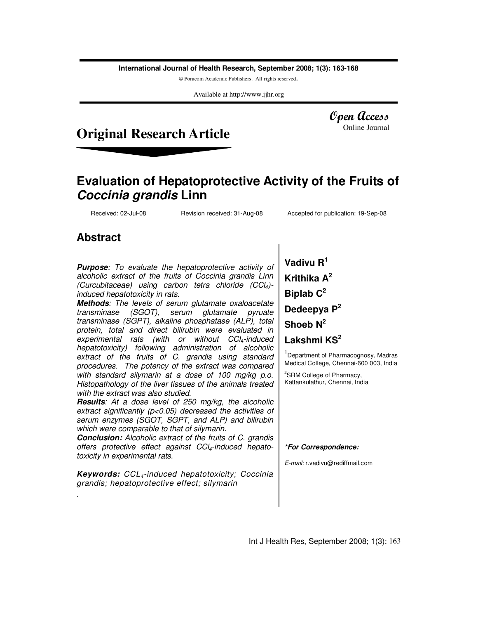**International Journal of Health Research, September 2008; 1(3): 163-168**

© Poracom Academic Publishers. All rights reserved.

Available at http://www.ijhr.org

### **Original Research Article**

Open Access Online Journal

### **Evaluation of Hepatoprotective Activity of the Fruits of Coccinia grandis Linn**

Received: 02-Jul-08 Revision received: 31-Aug-08 Accepted for publication: 19-Sep-08

### **Abstract**

.

**Purpose**: To evaluate the hepatoprotective activity of alcoholic extract of the fruits of Coccinia grandis Linn (Curcubitaceae) using carbon tetra chloride  $(CCl<sub>4</sub>)$ induced hepatotoxicity in rats.

**Methods**: The levels of serum glutamate oxaloacetate transminase (SGOT), serum glutamate pyruate transminase (SGPT), alkaline phosphatase (ALP), total protein, total and direct bilirubin were evaluated in experimental rats (with or without  $CCl<sub>4</sub>$ -induced hepatotoxicity) following administration of alcoholic extract of the fruits of C. grandis using standard procedures. The potency of the extract was compared with standard silymarin at a dose of 100 mg/kg p.o. Histopathology of the liver tissues of the animals treated with the extract was also studied.

**Results**: At a dose level of 250 mg/kg, the alcoholic extract significantly (p<0.05) decreased the activities of serum enzymes (SGOT, SGPT, and ALP) and bilirubin which were comparable to that of silymarin.

**Conclusion:** Alcoholic extract of the fruits of C. grandis offers protective effect against  $CCI<sub>4</sub>$ -induced hepatotoxicity in experimental rats.

**Keywords:** CCL4-induced hepatotoxicity; Coccinia grandis; hepatoprotective effect; silymarin

**Vadivu R<sup>1</sup> Krithika A<sup>2</sup> Biplab C<sup>2</sup> Dedeepya P<sup>2</sup>**

**Shoeb N<sup>2</sup>**

**Lakshmi KS<sup>2</sup>**

<sup>1</sup> Department of Pharmacognosy, Madras Medical College, Chennai-600 003, India

<sup>2</sup>SRM College of Pharmacy, Kattankulathur, Chennai, India

#### **\*For Correspondence:**

E-mail: r.vadivu@rediffmail.com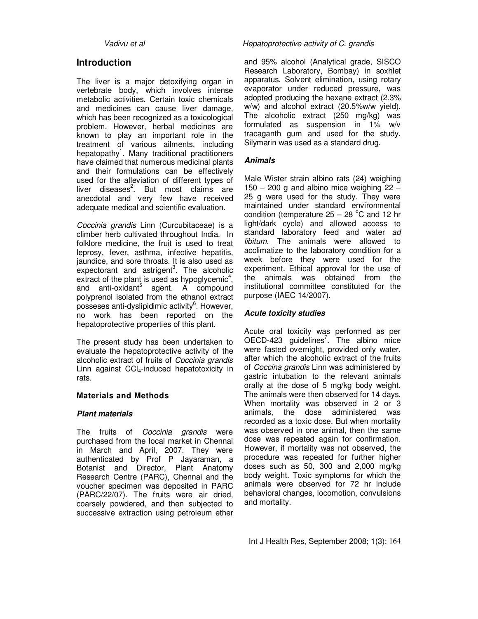### **Introduction**

The liver is a major detoxifying organ in vertebrate body, which involves intense metabolic activities. Certain toxic chemicals and medicines can cause liver damage, which has been recognized as a toxicological problem. However, herbal medicines are known to play an important role in the treatment of various ailments, including hepatopathy<sup>1</sup>. Many traditional practitioners have claimed that numerous medicinal plants and their formulations can be effectively used for the alleviation of different types of liver diseases<sup>2</sup>. But most claims are anecdotal and very few have received adequate medical and scientific evaluation.

Coccinia grandis Linn (Curcubitaceae) is a climber herb cultivated throughout India. In folklore medicine, the fruit is used to treat leprosy, fever, asthma, infective hepatitis, jaundice, and sore throats. It is also used as expectorant and astrigent<sup>3</sup>. The alcoholic extract of the plant is used as hypoglycemic<sup>4</sup>, and anti-oxidant<sup>5</sup> agent. A compound polyprenol isolated from the ethanol extract posseses anti-dyslipidimic activity<sup>6</sup>. However, no work has been reported on the hepatoprotective properties of this plant.

The present study has been undertaken to evaluate the hepatoprotective activity of the alcoholic extract of fruits of Coccinia grandis Linn against  $\text{CCI}_4$ -induced hepatotoxicity in rats.

#### **Materials and Methods**

#### **Plant materials**

The fruits of Coccinia grandis were purchased from the local market in Chennai in March and April, 2007. They were authenticated by Prof P Jayaraman, a Botanist and Director, Plant Anatomy Research Centre (PARC), Chennai and the voucher specimen was deposited in PARC (PARC/22/07). The fruits were air dried, coarsely powdered, and then subjected to successive extraction using petroleum ether

#### Vadivu et al **Vadivu et al** Hepatoprotective activity of C. grandis

and 95% alcohol (Analytical grade, SISCO Research Laboratory, Bombay) in soxhlet apparatus. Solvent elimination, using rotary evaporator under reduced pressure, was adopted producing the hexane extract (2.3% w/w) and alcohol extract (20.5%w/w yield). The alcoholic extract (250 mg/kg) was formulated as suspension in 1% w/v tracaganth gum and used for the study. Silymarin was used as a standard drug.

#### **Animals**

Male Wister strain albino rats (24) weighing  $150 - 200$  g and albino mice weighing  $22 - 1$ 25 g were used for the study. They were maintained under standard environmental condition (temperature  $25 - 28$  °C and 12 hr light/dark cycle) and allowed access to standard laboratory feed and water ad libitum. The animals were allowed to acclimatize to the laboratory condition for a week before they were used for the experiment. Ethical approval for the use of the animals was obtained from the institutional committee constituted for the purpose (IAEC 14/2007).

#### **Acute toxicity studies**

Acute oral toxicity was performed as per OECD-423 guidelines<sup>7</sup>. The albino mice were fasted overnight, provided only water, after which the alcoholic extract of the fruits of Coccina grandis Linn was administered by gastric intubation to the relevant animals orally at the dose of 5 mg/kg body weight. The animals were then observed for 14 days. When mortality was observed in 2 or 3 animals, the dose administered was recorded as a toxic dose. But when mortality was observed in one animal, then the same dose was repeated again for confirmation. However, if mortality was not observed, the procedure was repeated for further higher doses such as 50, 300 and 2,000 mg/kg body weight. Toxic symptoms for which the animals were observed for 72 hr include behavioral changes, locomotion, convulsions and mortality.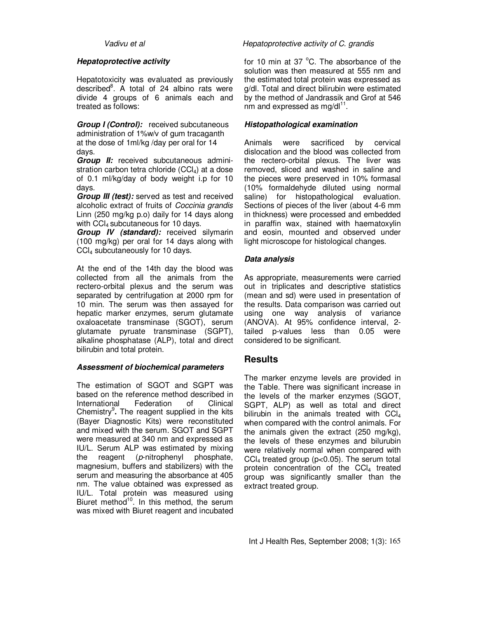#### **Hepatoprotective activity**

Hepatotoxicity was evaluated as previously described<sup>8</sup>. A total of 24 albino rats were divide 4 groups of 6 animals each and treated as follows:

**Group I (Control):** received subcutaneous administration of 1%w/v of gum tracaganth at the dose of 1ml/kg /day per oral for 14 days.

**Group II:** received subcutaneous administration carbon tetra chloride  $(CCl<sub>4</sub>)$  at a dose of 0.1 ml/kg/day of body weight i.p for 10 days.

**Group III (test):** served as test and received alcoholic extract of fruits of Coccinia grandis Linn (250 mg/kg p.o) daily for 14 days along with CCl<sub>4</sub> subcutaneous for 10 days.

**Group IV (standard):** received silymarin (100 mg/kg) per oral for 14 days along with CCl4 subcutaneously for 10 days.

At the end of the 14th day the blood was collected from all the animals from the rectero-orbital plexus and the serum was separated by centrifugation at 2000 rpm for 10 min. The serum was then assayed for hepatic marker enzymes, serum glutamate oxaloacetate transminase (SGOT), serum glutamate pyruate transminase (SGPT), alkaline phosphatase (ALP), total and direct bilirubin and total protein.

#### **Assessment of biochemical parameters**

The estimation of SGOT and SGPT was based on the reference method described in International Federation of Clinical Chemistry<sup>9</sup>. The reagent supplied in the kits (Bayer Diagnostic Kits) were reconstituted and mixed with the serum. SGOT and SGPT were measured at 340 nm and expressed as IU/L. Serum ALP was estimated by mixing the reagent (p-nitrophenyl phosphate, magnesium, buffers and stabilizers) with the serum and measuring the absorbance at 405 nm. The value obtained was expressed as IU/L. Total protein was measured using Biuret method<sup>10</sup>. In this method, the serum was mixed with Biuret reagent and incubated

#### Vadivu et al **Vadivu et al** Hepatoprotective activity of C. grandis

for 10 min at 37 $\degree$ C. The absorbance of the solution was then measured at 555 nm and the estimated total protein was expressed as g/dl. Total and direct bilirubin were estimated by the method of Jandrassik and Grof at 546  $\text{nm}$  and expressed as mg/dl $^{11}$ .

#### **Histopathological examination**

Animals were sacrificed by cervical dislocation and the blood was collected from the rectero-orbital plexus. The liver was removed, sliced and washed in saline and the pieces were preserved in 10% formasal (10% formaldehyde diluted using normal saline) for histopathological evaluation. Sections of pieces of the liver (about 4-6 mm in thickness) were processed and embedded in paraffin wax, stained with haematoxylin and eosin, mounted and observed under light microscope for histological changes.

#### **Data analysis**

As appropriate, measurements were carried out in triplicates and descriptive statistics (mean and sd) were used in presentation of the results. Data comparison was carried out using one way analysis of variance (ANOVA). At 95% confidence interval, 2 tailed p-values less than 0.05 were considered to be significant.

#### **Results**

The marker enzyme levels are provided in the Table. There was significant increase in the levels of the marker enzymes (SGOT, SGPT, ALP) as well as total and direct bilirubin in the animals treated with  $CCl<sub>4</sub>$ when compared with the control animals. For the animals given the extract (250 mg/kg), the levels of these enzymes and bilurubin were relatively normal when compared with  $CCl<sub>4</sub>$  treated group (p<0.05). The serum total protein concentration of the  $CCl<sub>4</sub>$  treated group was significantly smaller than the extract treated group.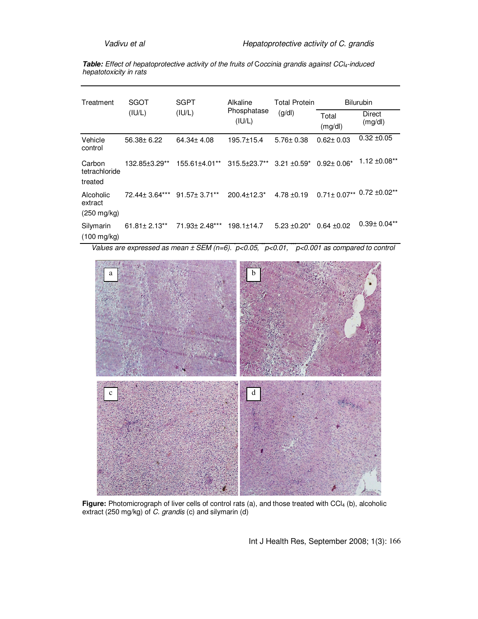Table: Effect of hepatoprotective activity of the fruits of Coccinia grandis against CCl<sub>4</sub>-induced hepatotoxicity in rats

| Treatment                          | SGOT<br>(IU/L)     | <b>SGPT</b><br>(IU/L)                                                  | Alkaline<br>Phosphatase<br>(IU/L) | <b>Total Protein</b><br>(g/dl) | <b>Bilurubin</b> |                              |
|------------------------------------|--------------------|------------------------------------------------------------------------|-----------------------------------|--------------------------------|------------------|------------------------------|
|                                    |                    |                                                                        |                                   |                                | Total<br>(mg/dl) | Direct<br>(mg/dl)            |
| Vehicle<br>control                 | 56.38± 6.22        | 64.34± 4.08                                                            | $195.7 \pm 15.4$                  | $5.76 \pm 0.38$                | $0.62 \pm 0.03$  | $0.32 + 0.05$                |
| Carbon<br>tetrachloride            | 132.85±3.29**      | $155.61\pm4.01**$ 315.5 $\pm$ 23.7** 3.21 $\pm$ 0.59* 0.92 $\pm$ 0.06* |                                   |                                |                  | $1.12 \pm 0.08**$            |
| treated                            |                    |                                                                        |                                   |                                |                  |                              |
| Alcoholic<br>extract               | 72.44 ± 3.64***    | 91.57± 3.71**                                                          | $200.4 \pm 12.3^*$                | $4.78 \pm 0.19$                |                  | $0.71\pm0.07**$ 0.72 ±0.02** |
| $(250 \text{ mg/kg})$              |                    |                                                                        |                                   |                                |                  |                              |
| Silymarin<br>$(100 \text{ mg/kg})$ | $61.81 \pm 2.13**$ | 71.93± 2.48***                                                         | $198.1 \pm 14.7$                  | $5.23 \pm 0.20^*$              | $0.64 + 0.02$    | $0.39 \pm 0.04**$            |

Values are expressed as mean  $\pm$  SEM (n=6).  $p<0.05$ ,  $p<0.01$ ,  $p<0.001$  as compared to control



**Figure:** Photomicrograph of liver cells of control rats (a), and those treated with CCl<sub>4</sub> (b), alcoholic extract (250 mg/kg) of C. grandis (c) and silymarin (d)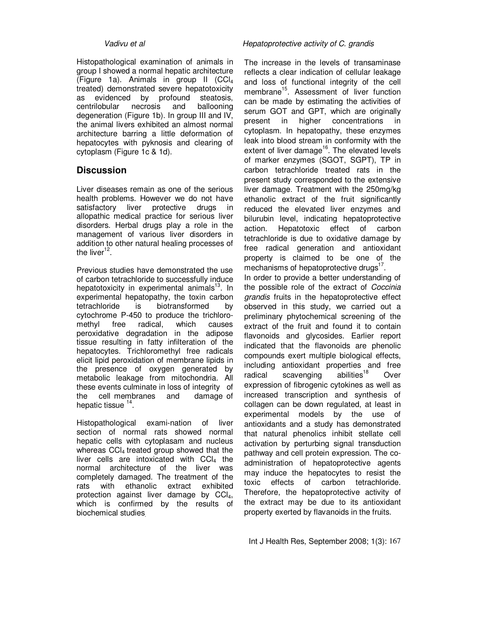Histopathological examination of animals in group I showed a normal hepatic architecture (Figure 1a). Animals in group II (CCl<sup>4</sup> treated) demonstrated severe hepatotoxicity as evidenced by profound steatosis, centrilobular necrosis and ballooning degeneration (Figure 1b). In group III and IV, the animal livers exhibited an almost normal architecture barring a little deformation of hepatocytes with pyknosis and clearing of cytoplasm (Figure 1c & 1d).

#### **Discussion**

Liver diseases remain as one of the serious health problems. However we do not have satisfactory liver protective drugs in allopathic medical practice for serious liver disorders. Herbal drugs play a role in the management of various liver disorders in addition to other natural healing processes of the liver<sup>12</sup>.

Previous studies have demonstrated the use of carbon tetrachloride to successfully induce hepatotoxicity in experimental animals<sup>13</sup>. In experimental hepatopathy, the toxin carbon tetrachloride is biotransformed by cytochrome P-450 to produce the trichloromethyl free radical, which causes peroxidative degradation in the adipose tissue resulting in fatty infilteration of the hepatocytes. Trichloromethyl free radicals elicit lipid peroxidation of membrane lipids in the presence of oxygen generated by metabolic leakage from mitochondria. All these events culminate in loss of integrity of the cell membranes and damage of hepatic tissue <sup>14</sup>.

Histopathological exami-nation of liver section of normal rats showed normal hepatic cells with cytoplasam and nucleus whereas CCl<sub>4</sub> treated group showed that the liver cells are intoxicated with  $CCl<sub>4</sub>$  the normal architecture of the liver was completely damaged. The treatment of the rats with ethanolic extract exhibited protection against liver damage by  $CCI<sub>4</sub>$ , which is confirmed by the results of biochemical studies.

#### Vadivu et al **Vadivu** et al extendion with the Hepatoprotective activity of C. grandis

The increase in the levels of transaminase reflects a clear indication of cellular leakage and loss of functional integrity of the cell membrane<sup>15</sup>. Assessment of liver function can be made by estimating the activities of serum GOT and GPT, which are originally present in higher concentrations in cytoplasm. In hepatopathy, these enzymes leak into blood stream in conformity with the extent of liver damage $16$ . The elevated levels of marker enzymes (SGOT, SGPT), TP in carbon tetrachloride treated rats in the present study corresponded to the extensive liver damage. Treatment with the 250mg/kg ethanolic extract of the fruit significantly reduced the elevated liver enzymes and bilurubin level, indicating hepatoprotective action. Hepatotoxic effect of carbon tetrachloride is due to oxidative damage by free radical generation and antioxidant property is claimed to be one of the mechanisms of hepatoprotective drugs $^{17}$ .

In order to provide a better understanding of the possible role of the extract of Coccinia grandis fruits in the hepatoprotective effect observed in this study, we carried out a preliminary phytochemical screening of the extract of the fruit and found it to contain flavonoids and glycosides. Earlier report indicated that the flavonoids are phenolic compounds exert multiple biological effects, including antioxidant properties and free radical scavenging abilities<sup>18</sup> Over expression of fibrogenic cytokines as well as increased transcription and synthesis of collagen can be down regulated, at least in experimental models by the use of antioxidants and a study has demonstrated that natural phenolics inhibit stellate cell activation by perturbing signal transduction pathway and cell protein expression. The coadministration of hepatoprotective agents may induce the hepatocytes to resist the toxic effects of carbon tetrachloride. Therefore, the hepatoprotective activity of the extract may be due to its antioxidant property exerted by flavanoids in the fruits.